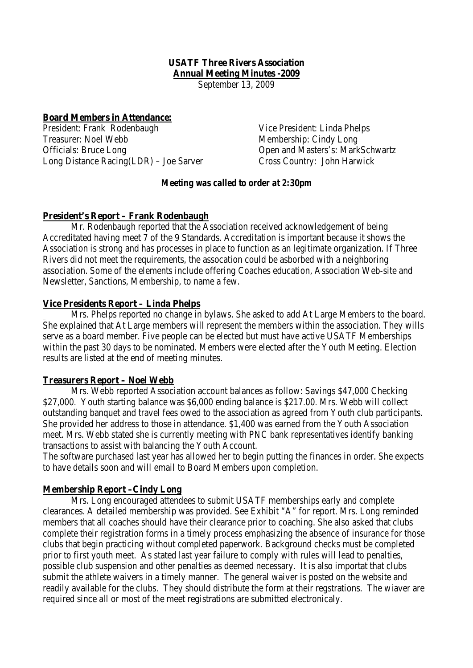# **USATF Three Rivers Association Annual Meeting Minutes -2009**

September 13, 2009

### **Board Members in Attendance:**

President: Frank Rodenbaugh Vice President: Linda Phelps Treasurer: Noel Webb Membership: Cindy Long Officials: Bruce Long Open and Masters's: MarkSchwartz Long Distance Racing(LDR) – Joe Sarver Cross Country: John Harwick

### *Meeting was called to order at 2:30pm*

### **President's Report – Frank Rodenbaugh**

Mr. Rodenbaugh reported that the Association received acknowledgement of being Accreditated having meet 7 of the 9 Standards. Accreditation is important because it shows the Association is strong and has processes in place to function as an legitimate organization. If Three Rivers did not meet the requirements, the assocation could be asborbed with a neighboring association. Some of the elements include offering Coaches education, Association Web-site and Newsletter, Sanctions, Membership, to name a few.

#### **Vice Presidents Report – Linda Phelps**

Mrs. Phelps reported no change in bylaws. She asked to add At Large Members to the board. She explained that At Large members will represent the members within the association. They wills serve as a board member. Five people can be elected but must have active USATF Memberships within the past 30 days to be nominated. Members were elected after the Youth Meeting. Election results are listed at the end of meeting minutes.

#### **Treasurers Report – Noel Webb**

Mrs. Webb reported Association account balances as follow: Savings \$47,000 Checking \$27,000. Youth starting balance was \$6,000 ending balance is \$217.00. Mrs. Webb will collect outstanding banquet and travel fees owed to the association as agreed from Youth club participants. She provided her address to those in attendance. \$1,400 was earned from the Youth Association meet. Mrs. Webb stated she is currently meeting with PNC bank representatives identify banking transactions to assist with balancing the Youth Account.

The software purchased last year has allowed her to begin putting the finances in order. She expects to have details soon and will email to Board Members upon completion.

### **Membership Report –Cindy Long**

Mrs. Long encouraged attendees to submit USATF memberships early and complete clearances. A detailed membership was provided. See Exhibit "A" for report. Mrs. Long reminded members that all coaches should have their clearance prior to coaching. She also asked that clubs complete their registration forms in a timely process emphasizing the absence of insurance for those clubs that begin practicing without completed paperwork. Background checks must be completed prior to first youth meet. As stated last year failure to comply with rules will lead to penalties, possible club suspension and other penalties as deemed necessary. It is also importat that clubs submit the athlete waivers in a timely manner. The general waiver is posted on the website and readily available for the clubs. They should distribute the form at their regstrations. The wiaver are required since all or most of the meet registrations are submitted electronicaly.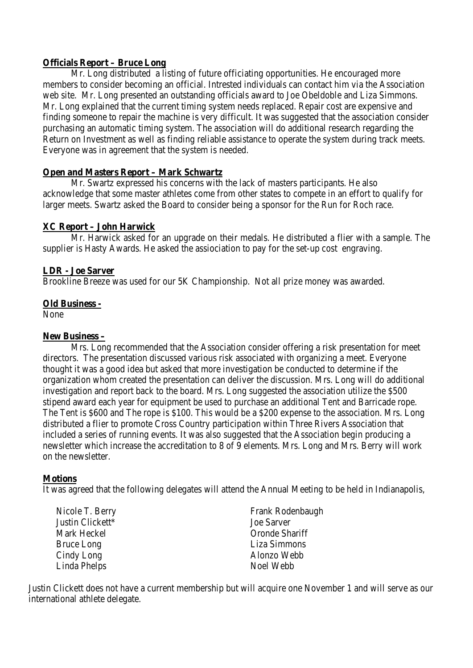### **Officials Report – Bruce Long**

Mr. Long distributed a listing of future officiating opportunities. He encouraged more members to consider becoming an official. Intrested individuals can contact him via the Association web site. Mr. Long presented an outstanding officials award to Joe Obeldoble and Liza Simmons. Mr. Long explained that the current timing system needs replaced. Repair cost are expensive and finding someone to repair the machine is very difficult. It was suggested that the association consider purchasing an automatic timing system. The association will do additional research regarding the Return on Investment as well as finding reliable assistance to operate the system during track meets. Everyone was in agreement that the system is needed.

# **Open and Masters Report – Mark Schwartz**

Mr. Swartz expressed his concerns with the lack of masters participants. He also acknowledge that some master athletes come from other states to compete in an effort to qualify for larger meets. Swartz asked the Board to consider being a sponsor for the Run for Roch race.

# **XC Report – John Harwick**

Mr. Harwick asked for an upgrade on their medals. He distributed a flier with a sample. The supplier is Hasty Awards. He asked the assiociation to pay for the set-up cost engraving.

### **LDR - Joe Sarver**

Brookline Breeze was used for our 5K Championship. Not all prize money was awarded.

### **Old Business -**

None

### **New Business –**

Mrs. Long recommended that the Association consider offering a risk presentation for meet directors. The presentation discussed various risk associated with organizing a meet. Everyone thought it was a good idea but asked that more investigation be conducted to determine if the organization whom created the presentation can deliver the discussion. Mrs. Long will do additional investigation and report back to the board. Mrs. Long suggested the association utilize the \$500 stipend award each year for equipment be used to purchase an additional Tent and Barricade rope. The Tent is \$600 and The rope is \$100. This would be a \$200 expense to the association. Mrs. Long distributed a flier to promote Cross Country participation within Three Rivers Association that included a series of running events. It was also suggested that the Association begin producing a newsletter which increase the accreditation to 8 of 9 elements. Mrs. Long and Mrs. Berry will work on the newsletter.

# **Motions**

It was agreed that the following delegates will attend the Annual Meeting to be held in Indianapolis,

| Nicole T. Berry   | Frank Rodenbaugh  |
|-------------------|-------------------|
| Justin Clickett*  | <b>Joe Sarver</b> |
| Mark Heckel       | Oronde Shariff    |
| <b>Bruce Long</b> | Liza Simmons      |
| Cindy Long        | Alonzo Webb       |
| Linda Phelps      | Noel Webb         |

Justin Clickett does not have a current membership but will acquire one November 1 and will serve as our international athlete delegate.